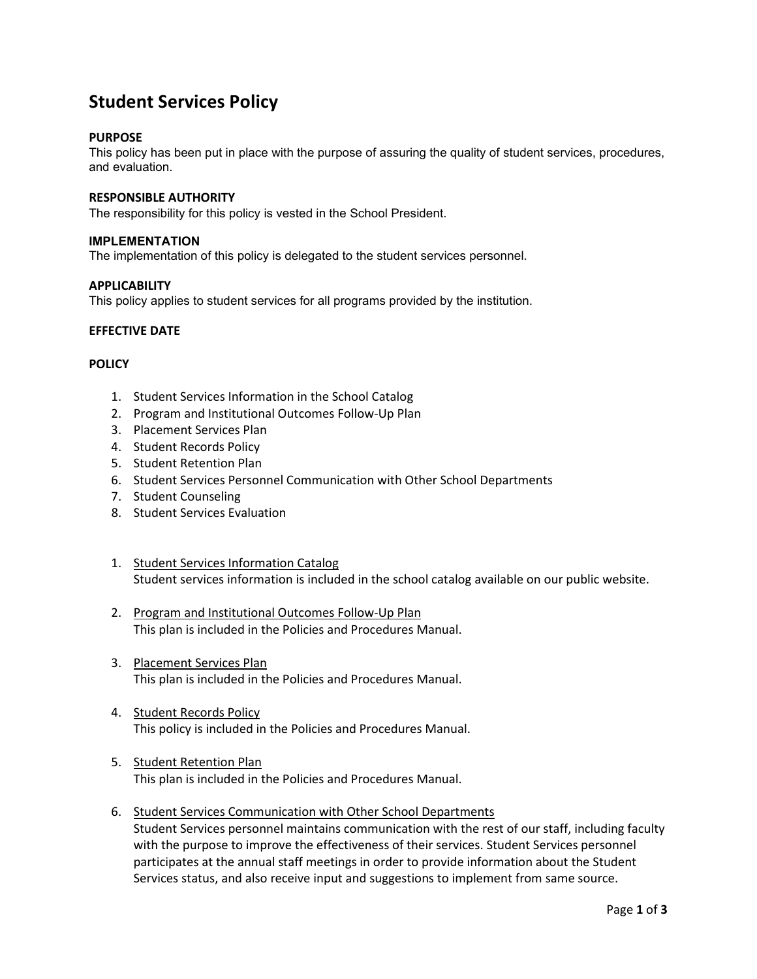# **Student Services Policy**

# **PURPOSE**

This policy has been put in place with the purpose of assuring the quality of student services, procedures, and evaluation.

# **RESPONSIBLE AUTHORITY**

The responsibility for this policy is vested in the School President.

#### **IMPLEMENTATION**

The implementation of this policy is delegated to the student services personnel.

### **APPLICABILITY**

This policy applies to student services for all programs provided by the institution.

### **EFFECTIVE DATE**

### **POLICY**

- 1. Student Services Information in the School Catalog
- 2. Program and Institutional Outcomes Follow-Up Plan
- 3. Placement Services Plan
- 4. Student Records Policy
- 5. Student Retention Plan
- 6. Student Services Personnel Communication with Other School Departments
- 7. Student Counseling
- 8. Student Services Evaluation
- 1. Student Services Information Catalog Student services information is included in the school catalog available on our public website.
- 2. Program and Institutional Outcomes Follow-Up Plan This plan is included in the Policies and Procedures Manual.
- 3. Placement Services Plan This plan is included in the Policies and Procedures Manual.
- 4. **Student Records Policy** This policy is included in the Policies and Procedures Manual.
- 5. Student Retention Plan This plan is included in the Policies and Procedures Manual.
- 6. Student Services Communication with Other School Departments Student Services personnel maintains communication with the rest of our staff, including faculty with the purpose to improve the effectiveness of their services. Student Services personnel participates at the annual staff meetings in order to provide information about the Student Services status, and also receive input and suggestions to implement from same source.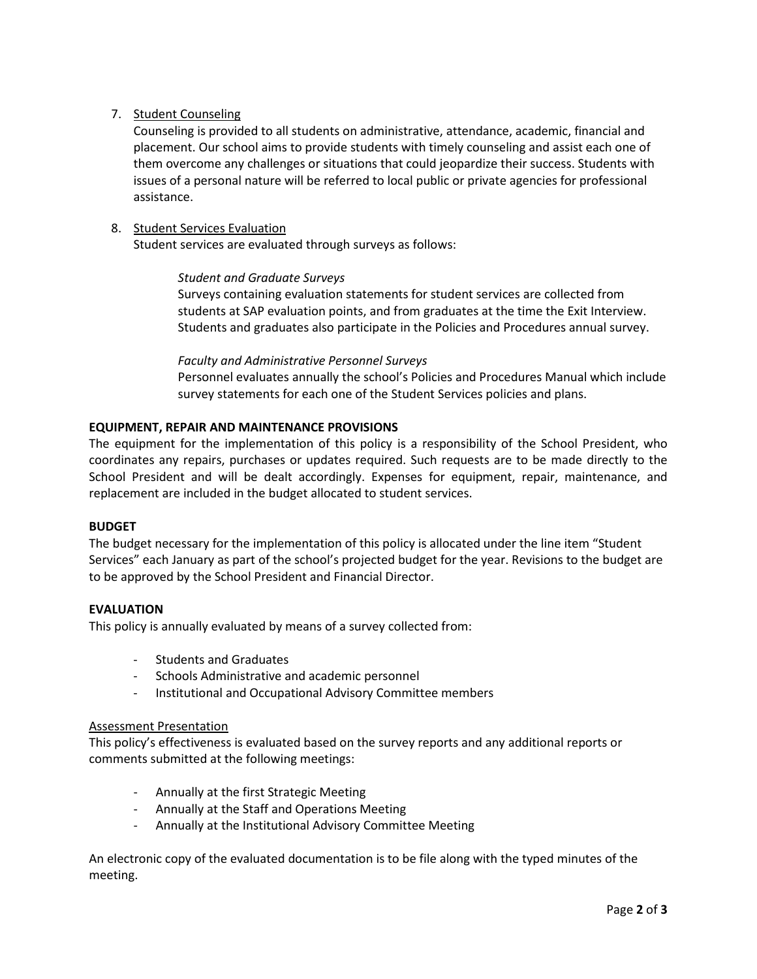# 7. Student Counseling

Counseling is provided to all students on administrative, attendance, academic, financial and placement. Our school aims to provide students with timely counseling and assist each one of them overcome any challenges or situations that could jeopardize their success. Students with issues of a personal nature will be referred to local public or private agencies for professional assistance.

# 8. Student Services Evaluation

Student services are evaluated through surveys as follows:

# *Student and Graduate Surveys*

Surveys containing evaluation statements for student services are collected from students at SAP evaluation points, and from graduates at the time the Exit Interview. Students and graduates also participate in the Policies and Procedures annual survey.

# *Faculty and Administrative Personnel Surveys*

Personnel evaluates annually the school's Policies and Procedures Manual which include survey statements for each one of the Student Services policies and plans.

# **EQUIPMENT, REPAIR AND MAINTENANCE PROVISIONS**

The equipment for the implementation of this policy is a responsibility of the School President, who coordinates any repairs, purchases or updates required. Such requests are to be made directly to the School President and will be dealt accordingly. Expenses for equipment, repair, maintenance, and replacement are included in the budget allocated to student services.

### **BUDGET**

The budget necessary for the implementation of this policy is allocated under the line item "Student Services" each January as part of the school's projected budget for the year. Revisions to the budget are to be approved by the School President and Financial Director.

### **EVALUATION**

This policy is annually evaluated by means of a survey collected from:

- Students and Graduates
- Schools Administrative and academic personnel
- Institutional and Occupational Advisory Committee members

### Assessment Presentation

This policy's effectiveness is evaluated based on the survey reports and any additional reports or comments submitted at the following meetings:

- Annually at the first Strategic Meeting
- Annually at the Staff and Operations Meeting
- Annually at the Institutional Advisory Committee Meeting

An electronic copy of the evaluated documentation is to be file along with the typed minutes of the meeting.